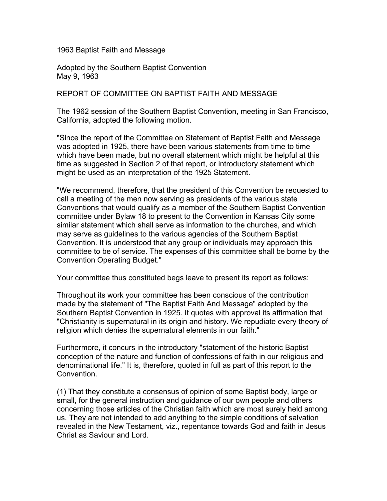1963 Baptist Faith and Message

Adopted by the Southern Baptist Convention May 9, 1963

REPORT OF COMMITTEE ON BAPTIST FAITH AND MESSAGE

The 1962 session of the Southern Baptist Convention, meeting in San Francisco, California, adopted the following motion.

"Since the report of the Committee on Statement of Baptist Faith and Message was adopted in 1925, there have been various statements from time to time which have been made, but no overall statement which might be helpful at this time as suggested in Section 2 of that report, or introductory statement which might be used as an interpretation of the 1925 Statement.

"We recommend, therefore, that the president of this Convention be requested to call a meeting of the men now serving as presidents of the various state Conventions that would qualify as a member of the Southern Baptist Convention committee under Bylaw 18 to present to the Convention in Kansas City some similar statement which shall serve as information to the churches, and which may serve as guidelines to the various agencies of the Southern Baptist Convention. It is understood that any group or individuals may approach this committee to be of service. The expenses of this committee shall be borne by the Convention Operating Budget."

Your committee thus constituted begs leave to present its report as follows:

Throughout its work your committee has been conscious of the contribution made by the statement of "The Baptist Faith And Message" adopted by the Southern Baptist Convention in 1925. It quotes with approval its affirmation that "Christianity is supernatural in its origin and history. We repudiate every theory of religion which denies the supernatural elements in our faith."

Furthermore, it concurs in the introductory "statement of the historic Baptist conception of the nature and function of confessions of faith in our religious and denominational life." It is, therefore, quoted in full as part of this report to the Convention.

(1) That they constitute a consensus of opinion of some Baptist body, large or small, for the general instruction and guidance of our own people and others concerning those articles of the Christian faith which are most surely held among us. They are not intended to add anything to the simple conditions of salvation revealed in the New Testament, viz., repentance towards God and faith in Jesus Christ as Saviour and Lord.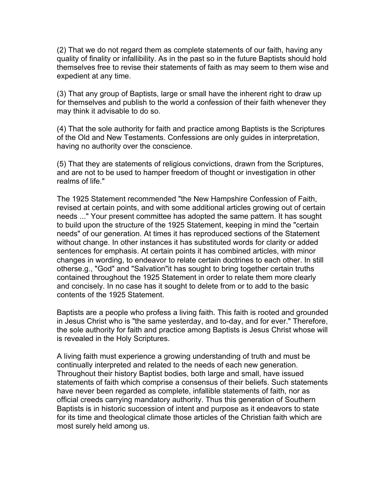(2) That we do not regard them as complete statements of our faith, having any quality of finality or infallibility. As in the past so in the future Baptists should hold themselves free to revise their statements of faith as may seem to them wise and expedient at any time.

(3) That any group of Baptists, large or small have the inherent right to draw up for themselves and publish to the world a confession of their faith whenever they may think it advisable to do so.

(4) That the sole authority for faith and practice among Baptists is the Scriptures of the Old and New Testaments. Confessions are only guides in interpretation, having no authority over the conscience.

(5) That they are statements of religious convictions, drawn from the Scriptures, and are not to be used to hamper freedom of thought or investigation in other realms of life."

The 1925 Statement recommended "the New Hampshire Confession of Faith, revised at certain points, and with some additional articles growing out of certain needs ..." Your present committee has adopted the same pattern. It has sought to build upon the structure of the 1925 Statement, keeping in mind the "certain needs" of our generation. At times it has reproduced sections of the Statement without change. In other instances it has substituted words for clarity or added sentences for emphasis. At certain points it has combined articles, with minor changes in wording, to endeavor to relate certain doctrines to each other. In still otherse.g., "God" and "Salvation"it has sought to bring together certain truths contained throughout the 1925 Statement in order to relate them more clearly and concisely. In no case has it sought to delete from or to add to the basic contents of the 1925 Statement.

Baptists are a people who profess a living faith. This faith is rooted and grounded in Jesus Christ who is "the same yesterday, and to-day, and for ever." Therefore, the sole authority for faith and practice among Baptists is Jesus Christ whose will is revealed in the Holy Scriptures.

A living faith must experience a growing understanding of truth and must be continually interpreted and related to the needs of each new generation. Throughout their history Baptist bodies, both large and small, have issued statements of faith which comprise a consensus of their beliefs. Such statements have never been regarded as complete, infallible statements of faith, nor as official creeds carrying mandatory authority. Thus this generation of Southern Baptists is in historic succession of intent and purpose as it endeavors to state for its time and theological climate those articles of the Christian faith which are most surely held among us.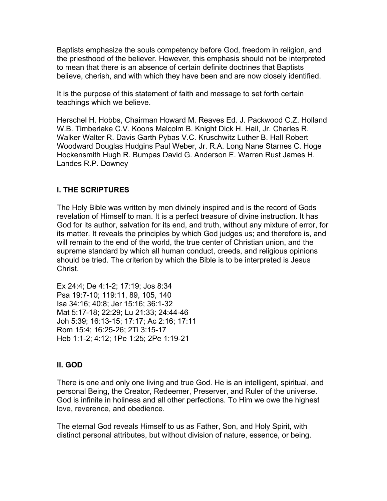Baptists emphasize the souls competency before God, freedom in religion, and the priesthood of the believer. However, this emphasis should not be interpreted to mean that there is an absence of certain definite doctrines that Baptists believe, cherish, and with which they have been and are now closely identified.

It is the purpose of this statement of faith and message to set forth certain teachings which we believe.

Herschel H. Hobbs, Chairman Howard M. Reaves Ed. J. Packwood C.Z. Holland W.B. Timberlake C.V. Koons Malcolm B. Knight Dick H. Hail, Jr. Charles R. Walker Walter R. Davis Garth Pybas V.C. Kruschwitz Luther B. Hall Robert Woodward Douglas Hudgins Paul Weber, Jr. R.A. Long Nane Starnes C. Hoge Hockensmith Hugh R. Bumpas David G. Anderson E. Warren Rust James H. Landes R.P. Downey

### **I. THE SCRIPTURES**

The Holy Bible was written by men divinely inspired and is the record of Gods revelation of Himself to man. It is a perfect treasure of divine instruction. It has God for its author, salvation for its end, and truth, without any mixture of error, for its matter. It reveals the principles by which God judges us; and therefore is, and will remain to the end of the world, the true center of Christian union, and the supreme standard by which all human conduct, creeds, and religious opinions should be tried. The criterion by which the Bible is to be interpreted is Jesus Christ.

Ex 24:4; De 4:1-2; 17:19; Jos 8:34 Psa 19:7-10; 119:11, 89, 105, 140 Isa 34:16; 40:8; Jer 15:16; 36:1-32 Mat 5:17-18; 22:29; Lu 21:33; 24:44-46 Joh 5:39; 16:13-15; 17:17; Ac 2:16; 17:11 Rom 15:4; 16:25-26; 2Ti 3:15-17 Heb 1:1-2; 4:12; 1Pe 1:25; 2Pe 1:19-21

# **II. GOD**

There is one and only one living and true God. He is an intelligent, spiritual, and personal Being, the Creator, Redeemer, Preserver, and Ruler of the universe. God is infinite in holiness and all other perfections. To Him we owe the highest love, reverence, and obedience.

The eternal God reveals Himself to us as Father, Son, and Holy Spirit, with distinct personal attributes, but without division of nature, essence, or being.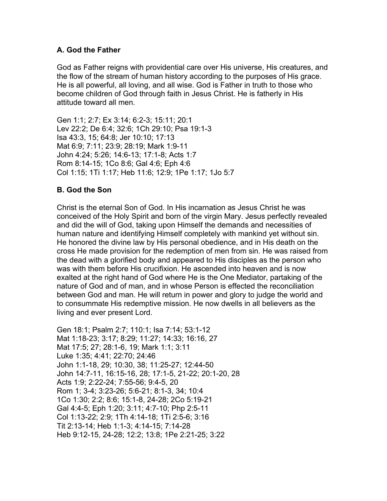### **A. God the Father**

God as Father reigns with providential care over His universe, His creatures, and the flow of the stream of human history according to the purposes of His grace. He is all powerful, all loving, and all wise. God is Father in truth to those who become children of God through faith in Jesus Christ. He is fatherly in His attitude toward all men.

Gen 1:1; 2:7; Ex 3:14; 6:2-3; 15:11; 20:1 Lev 22:2; De 6:4; 32:6; 1Ch 29:10; Psa 19:1-3 Isa 43:3, 15; 64:8; Jer 10:10; 17:13 Mat 6:9; 7:11; 23:9; 28:19; Mark 1:9-11 John 4:24; 5:26; 14:6-13; 17:1-8; Acts 1:7 Rom 8:14-15; 1Co 8:6; Gal 4:6; Eph 4:6 Col 1:15; 1Ti 1:17; Heb 11:6; 12:9; 1Pe 1:17; 1Jo 5:7

# **B. God the Son**

Christ is the eternal Son of God. In His incarnation as Jesus Christ he was conceived of the Holy Spirit and born of the virgin Mary. Jesus perfectly revealed and did the will of God, taking upon Himself the demands and necessities of human nature and identifying Himself completely with mankind yet without sin. He honored the divine law by His personal obedience, and in His death on the cross He made provision for the redemption of men from sin. He was raised from the dead with a glorified body and appeared to His disciples as the person who was with them before His crucifixion. He ascended into heaven and is now exalted at the right hand of God where He is the One Mediator, partaking of the nature of God and of man, and in whose Person is effected the reconciliation between God and man. He will return in power and glory to judge the world and to consummate His redemptive mission. He now dwells in all believers as the living and ever present Lord.

Gen 18:1; Psalm 2:7; 110:1; Isa 7:14; 53:1-12 Mat 1:18-23; 3:17; 8:29; 11:27; 14:33; 16:16, 27 Mat 17:5; 27; 28:1-6, 19; Mark 1:1; 3:11 Luke 1:35; 4:41; 22:70; 24:46 John 1:1-18, 29; 10:30, 38; 11:25-27; 12:44-50 John 14:7-11, 16:15-16, 28; 17:1-5, 21-22; 20:1-20, 28 Acts 1:9; 2:22-24; 7:55-56; 9:4-5, 20 Rom 1; 3-4; 3:23-26; 5:6-21; 8:1-3, 34; 10:4 1Co 1:30; 2:2; 8:6; 15:1-8, 24-28; 2Co 5:19-21 Gal 4:4-5; Eph 1:20; 3:11; 4:7-10; Php 2:5-11 Col 1:13-22; 2:9; 1Th 4:14-18; 1Ti 2:5-6; 3:16 Tit 2:13-14; Heb 1:1-3; 4:14-15; 7:14-28 Heb 9:12-15, 24-28; 12:2; 13:8; 1Pe 2:21-25; 3:22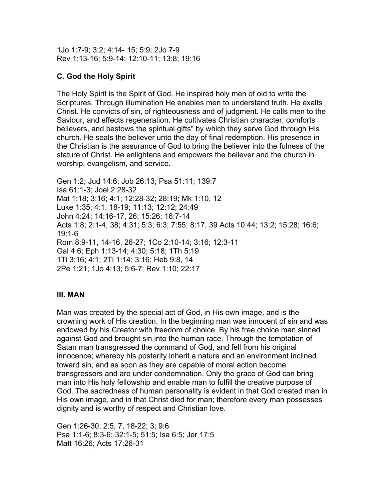1Jo 1:7-9; 3:2; 4:14- 15; 5:9; 2Jo 7-9 Rev 1:13-16; 5:9-14; 12:10-11; 13:8; 19:16

### **C. God the Holy Spirit**

The Holy Spirit is the Spirit of God. He inspired holy men of old to write the Scriptures. Through illumination He enables men to understand truth. He exalts Christ. He convicts of sin, of righteousness and of judgment. He calls men to the Saviour, and effects regeneration. He cultivates Christian character, comforts believers, and bestows the spiritual gifts" by which they serve God through His church. He seals the believer unto the day of final redemption. His presence in the Christian is the assurance of God to bring the believer into the fulness of the stature of Christ. He enlightens and empowers the believer and the church in worship, evangelism, and service.

Gen 1:2; Jud 14:6; Job 26:13; Psa 51:11; 139:7 Isa 61:1-3; Joel 2:28-32 Mat 1:18; 3:16; 4:1; 12:28-32; 28:19; Mk 1:10, 12 Luke 1:35; 4:1, 18-19; 11:13; 12:12; 24:49 John 4:24; 14:16-17, 26; 15:26; 16:7-14 Acts 1:8; 2:1-4, 38; 4:31; 5:3; 6:3; 7:55; 8:17, 39 Acts 10:44; 13:2; 15:28; 16:6; 19:1-6 Rom 8:9-11, 14-16, 26-27; 1Co 2:10-14; 3:16; 12:3-11 Gal 4:6; Eph 1:13-14; 4:30; 5:18; 1Th 5:19 1Ti 3:16; 4:1; 2Ti 1:14; 3:16; Heb 9:8, 14 2Pe 1:21; 1Jo 4:13; 5:6-7; Rev 1:10; 22:17

# **III. MAN**

Man was created by the special act of God, in His own image, and is the crowning work of His creation. In the beginning man was innocent of sin and was endowed by his Creator with freedom of choice. By his free choice man sinned against God and brought sin into the human race. Through the temptation of Satan man transgressed the command of God, and fell from his original innocence; whereby his posterity inherit a nature and an environment inclined toward sin, and as soon as they are capable of moral action become transgressors and are under condemnation. Only the grace of God can bring man into His holy fellowship and enable man to fulfill the creative purpose of God. The sacredness of human personality is evident in that God created man in His own image, and in that Christ died for man; therefore every man possesses dignity and is worthy of respect and Christian love.

Gen 1:26-30; 2:5, 7, 18-22; 3; 9:6 Psa 1:1-6; 8:3-6; 32:1-5; 51:5; Isa 6:5; Jer 17:5 Matt 16:26; Acts 17:26-31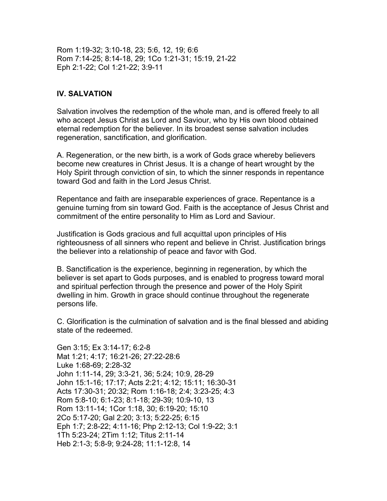Rom 1:19-32; 3:10-18, 23; 5:6, 12, 19; 6:6 Rom 7:14-25; 8:14-18, 29; 1Co 1:21-31; 15:19, 21-22 Eph 2:1-22; Col 1:21-22; 3:9-11

#### **IV. SALVATION**

Salvation involves the redemption of the whole man, and is offered freely to all who accept Jesus Christ as Lord and Saviour, who by His own blood obtained eternal redemption for the believer. In its broadest sense salvation includes regeneration, sanctification, and glorification.

A. Regeneration, or the new birth, is a work of Gods grace whereby believers become new creatures in Christ Jesus. It is a change of heart wrought by the Holy Spirit through conviction of sin, to which the sinner responds in repentance toward God and faith in the Lord Jesus Christ.

Repentance and faith are inseparable experiences of grace. Repentance is a genuine turning from sin toward God. Faith is the acceptance of Jesus Christ and commitment of the entire personality to Him as Lord and Saviour.

Justification is Gods gracious and full acquittal upon principles of His righteousness of all sinners who repent and believe in Christ. Justification brings the believer into a relationship of peace and favor with God.

B. Sanctification is the experience, beginning in regeneration, by which the believer is set apart to Gods purposes, and is enabled to progress toward moral and spiritual perfection through the presence and power of the Holy Spirit dwelling in him. Growth in grace should continue throughout the regenerate persons life.

C. Glorification is the culmination of salvation and is the final blessed and abiding state of the redeemed.

Gen 3:15; Ex 3:14-17; 6:2-8 Mat 1:21; 4:17; 16:21-26; 27:22-28:6 Luke 1:68-69; 2:28-32 John 1:11-14, 29; 3:3-21, 36; 5:24; 10:9, 28-29 John 15:1-16; 17:17; Acts 2:21; 4:12; 15:11; 16:30-31 Acts 17:30-31; 20:32; Rom 1:16-18; 2:4; 3:23-25; 4:3 Rom 5:8-10; 6:1-23; 8:1-18; 29-39; 10:9-10, 13 Rom 13:11-14; 1Cor 1:18, 30; 6:19-20; 15:10 2Co 5:17-20; Gal 2:20; 3:13; 5:22-25; 6:15 Eph 1:7; 2:8-22; 4:11-16; Php 2:12-13; Col 1:9-22; 3:1 1Th 5:23-24; 2Tim 1:12; Titus 2:11-14 Heb 2:1-3; 5:8-9; 9:24-28; 11:1-12:8, 14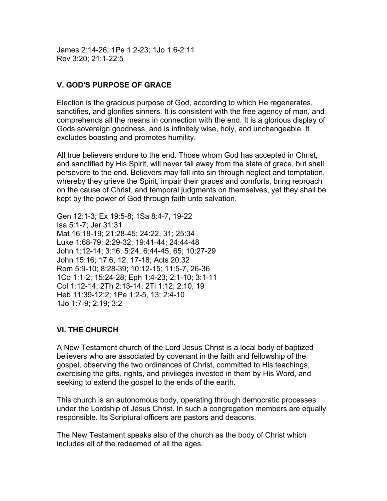James 2:14-26; 1Pe 1:2-23; 1Jo 1:6-2:11 Rev 3:20; 21:1-22:5

## **V. GOD'S PURPOSE OF GRACE**

Election is the gracious purpose of God, according to which He regenerates, sanctifies, and glorifies sinners. It is consistent with the free agency of man, and comprehends all the means in connection with the end. It is a glorious display of Gods sovereign goodness, and is infinitely wise, holy, and unchangeable. It excludes boasting and promotes humility.

All true believers endure to the end. Those whom God has accepted in Christ, and sanctified by His Spirit, will never fall away from the state of grace, but shall persevere to the end. Believers may fall into sin through neglect and temptation, whereby they grieve the Spirit, impair their graces and comforts, bring reproach on the cause of Christ, and temporal judgments on themselves, yet they shall be kept by the power of God through faith unto salvation.

Gen 12:1-3; Ex 19:5-8; 1Sa 8:4-7, 19-22 Isa 5:1-7; Jer 31:31 Mat 16:18-19; 21:28-45; 24:22, 31; 25:34 Luke 1:68-79; 2:29-32; 19:41-44; 24:44-48 John 1:12-14; 3:16; 5:24; 6:44-45, 65; 10:27-29 John 15:16; 17:6, 12, 17-18; Acts 20:32 Rom 5:9-10; 8:28-39; 10:12-15; 11:5-7, 26-36 1Co 1:1-2; 15:24-28; Eph 1:4-23; 2:1-10; 3:1-11 Col 1:12-14; 2Th 2:13-14; 2Ti 1:12; 2:10, 19 Heb 11:39-12:2; 1Pe 1:2-5, 13; 2:4-10 1Jo 1:7-9; 2:19; 3:2

### **VI. THE CHURCH**

A New Testament church of the Lord Jesus Christ is a local body of baptized believers who are associated by covenant in the faith and fellowship of the gospel, observing the two ordinances of Christ, committed to His teachings, exercising the gifts, rights, and privileges invested in them by His Word, and seeking to extend the gospel to the ends of the earth.

This church is an autonomous body, operating through democratic processes under the Lordship of Jesus Christ. In such a congregation members are equally responsible. Its Scriptural officers are pastors and deacons.

The New Testament speaks also of the church as the body of Christ which includes all of the redeemed of all the ages.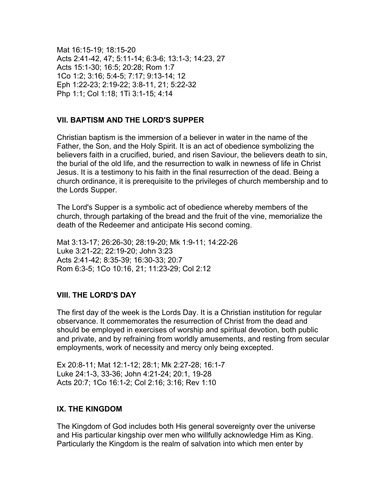Mat 16:15-19; 18:15-20 Acts 2:41-42, 47; 5:11-14; 6:3-6; 13:1-3; 14:23, 27 Acts 15:1-30; 16:5; 20:28; Rom 1:7 1Co 1:2; 3:16; 5:4-5; 7:17; 9:13-14; 12 Eph 1:22-23; 2:19-22; 3:8-11, 21; 5:22-32 Php 1:1; Col 1:18; 1Ti 3:1-15; 4:14

### **VII. BAPTISM AND THE LORD'S SUPPER**

Christian baptism is the immersion of a believer in water in the name of the Father, the Son, and the Holy Spirit. It is an act of obedience symbolizing the believers faith in a crucified, buried, and risen Saviour, the believers death to sin, the burial of the old life, and the resurrection to walk in newness of life in Christ Jesus. It is a testimony to his faith in the final resurrection of the dead. Being a church ordinance, it is prerequisite to the privileges of church membership and to the Lords Supper.

The Lord's Supper is a symbolic act of obedience whereby members of the church, through partaking of the bread and the fruit of the vine, memorialize the death of the Redeemer and anticipate His second coming.

Mat 3:13-17; 26:26-30; 28:19-20; Mk 1:9-11; 14:22-26 Luke 3:21-22; 22:19-20; John 3:23 Acts 2:41-42; 8:35-39; 16:30-33; 20:7 Rom 6:3-5; 1Co 10:16, 21; 11:23-29; Col 2:12

# **VIII. THE LORD'S DAY**

The first day of the week is the Lords Day. It is a Christian institution for regular observance. It commemorates the resurrection of Christ from the dead and should be employed in exercises of worship and spiritual devotion, both public and private, and by refraining from worldly amusements, and resting from secular employments, work of necessity and mercy only being excepted.

Ex 20:8-11; Mat 12:1-12; 28:1; Mk 2:27-28; 16:1-7 Luke 24:1-3, 33-36; John 4:21-24; 20:1, 19-28 Acts 20:7; 1Co 16:1-2; Col 2:16; 3:16; Rev 1:10

### **IX. THE KINGDOM**

The Kingdom of God includes both His general sovereignty over the universe and His particular kingship over men who willfully acknowledge Him as King. Particularly the Kingdom is the realm of salvation into which men enter by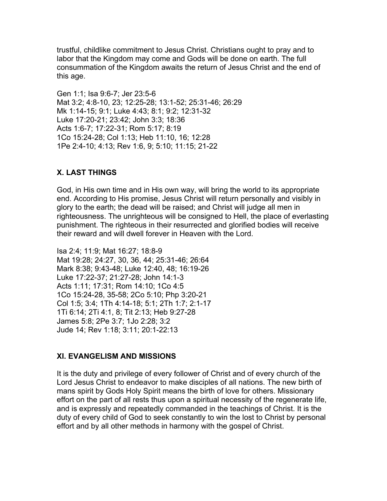trustful, childlike commitment to Jesus Christ. Christians ought to pray and to labor that the Kingdom may come and Gods will be done on earth. The full consummation of the Kingdom awaits the return of Jesus Christ and the end of this age.

Gen 1:1; Isa 9:6-7; Jer 23:5-6 Mat 3:2; 4:8-10, 23; 12:25-28; 13:1-52; 25:31-46; 26:29 Mk 1:14-15; 9:1; Luke 4:43; 8:1; 9:2; 12:31-32 Luke 17:20-21; 23:42; John 3:3; 18:36 Acts 1:6-7; 17:22-31; Rom 5:17; 8:19 1Co 15:24-28; Col 1:13; Heb 11:10, 16; 12:28 1Pe 2:4-10; 4:13; Rev 1:6, 9; 5:10; 11:15; 21-22

### **X. LAST THINGS**

God, in His own time and in His own way, will bring the world to its appropriate end. According to His promise, Jesus Christ will return personally and visibly in glory to the earth; the dead will be raised; and Christ will judge all men in righteousness. The unrighteous will be consigned to Hell, the place of everlasting punishment. The righteous in their resurrected and glorified bodies will receive their reward and will dwell forever in Heaven with the Lord.

Isa 2:4; 11:9; Mat 16:27; 18:8-9 Mat 19:28; 24:27, 30, 36, 44; 25:31-46; 26:64 Mark 8:38; 9:43-48; Luke 12:40, 48; 16:19-26 Luke 17:22-37; 21:27-28; John 14:1-3 Acts 1:11; 17:31; Rom 14:10; 1Co 4:5 1Co 15:24-28, 35-58; 2Co 5:10; Php 3:20-21 Col 1:5; 3:4; 1Th 4:14-18; 5:1; 2Th 1:7; 2:1-17 1Ti 6:14; 2Ti 4:1, 8; Tit 2:13; Heb 9:27-28 James 5:8; 2Pe 3:7; 1Jo 2:28; 3:2 Jude 14; Rev 1:18; 3:11; 20:1-22:13

### **XI. EVANGELISM AND MISSIONS**

It is the duty and privilege of every follower of Christ and of every church of the Lord Jesus Christ to endeavor to make disciples of all nations. The new birth of mans spirit by Gods Holy Spirit means the birth of love for others. Missionary effort on the part of all rests thus upon a spiritual necessity of the regenerate life, and is expressly and repeatedly commanded in the teachings of Christ. It is the duty of every child of God to seek constantly to win the lost to Christ by personal effort and by all other methods in harmony with the gospel of Christ.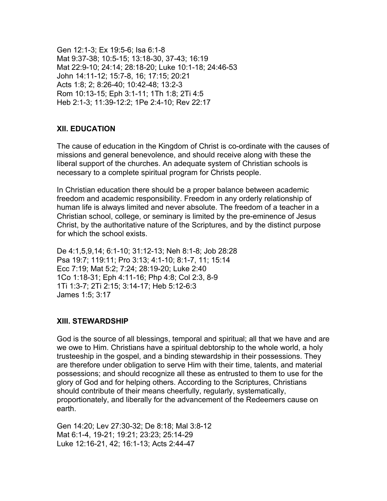Gen 12:1-3; Ex 19:5-6; Isa 6:1-8 Mat 9:37-38; 10:5-15; 13:18-30, 37-43; 16:19 Mat 22:9-10; 24:14; 28:18-20; Luke 10:1-18; 24:46-53 John 14:11-12; 15:7-8, 16; 17:15; 20:21 Acts 1:8; 2; 8:26-40; 10:42-48; 13:2-3 Rom 10:13-15; Eph 3:1-11; 1Th 1:8; 2Ti 4:5 Heb 2:1-3; 11:39-12:2; 1Pe 2:4-10; Rev 22:17

### **XII. EDUCATION**

The cause of education in the Kingdom of Christ is co-ordinate with the causes of missions and general benevolence, and should receive along with these the liberal support of the churches. An adequate system of Christian schools is necessary to a complete spiritual program for Christs people.

In Christian education there should be a proper balance between academic freedom and academic responsibility. Freedom in any orderly relationship of human life is always limited and never absolute. The freedom of a teacher in a Christian school, college, or seminary is limited by the pre-eminence of Jesus Christ, by the authoritative nature of the Scriptures, and by the distinct purpose for which the school exists.

De 4:1,5,9,14; 6:1-10; 31:12-13; Neh 8:1-8; Job 28:28 Psa 19:7; 119:11; Pro 3:13; 4:1-10; 8:1-7, 11; 15:14 Ecc 7:19; Mat 5:2; 7:24; 28:19-20; Luke 2:40 1Co 1:18-31; Eph 4:11-16; Php 4:8; Col 2:3, 8-9 1Ti 1:3-7; 2Ti 2:15; 3:14-17; Heb 5:12-6:3 James 1:5; 3:17

### **XIII. STEWARDSHIP**

God is the source of all blessings, temporal and spiritual; all that we have and are we owe to Him. Christians have a spiritual debtorship to the whole world, a holy trusteeship in the gospel, and a binding stewardship in their possessions. They are therefore under obligation to serve Him with their time, talents, and material possessions; and should recognize all these as entrusted to them to use for the glory of God and for helping others. According to the Scriptures, Christians should contribute of their means cheerfully, regularly, systematically, proportionately, and liberally for the advancement of the Redeemers cause on earth.

Gen 14:20; Lev 27:30-32; De 8:18; Mal 3:8-12 Mat 6:1-4, 19-21; 19:21; 23:23; 25:14-29 Luke 12:16-21, 42; 16:1-13; Acts 2:44-47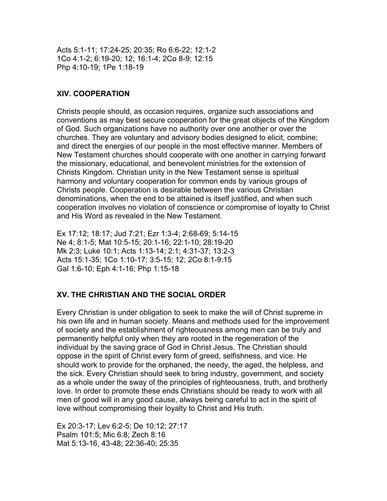Acts 5:1-11; 17:24-25; 20:35; Ro 6:6-22; 12:1-2 1Co 4:1-2; 6:19-20; 12; 16:1-4; 2Co 8-9; 12:15 Php 4:10-19; 1Pe 1:18-19

## **XIV. COOPERATION**

Christs people should, as occasion requires, organize such associations and conventions as may best secure cooperation for the great objects of the Kingdom of God. Such organizations have no authority over one another or over the churches. They are voluntary and advisory bodies designed to elicit, combine; and direct the energies of our people in the most effective manner. Members of New Testament churches should cooperate with one another in carrying forward the missionary, educational, and benevolent ministries for the extension of Christs Kingdom. Christian unity in the New Testament sense is spiritual harmony and voluntary cooperation for common ends by various groups of Christs people. Cooperation is desirable between the various Christian denominations, when the end to be attained is itself justified, and when such cooperation involves no violation of conscience or compromise of loyalty to Christ and His Word as revealed in the New Testament.

Ex 17:12; 18:17; Jud 7:21; Ezr 1:3-4; 2:68-69; 5:14-15 Ne 4; 8:1-5; Mat 10:5-15; 20:1-16; 22:1-10; 28:19-20 Mk 2:3; Luke 10:1; Acts 1:13-14; 2:1; 4:31-37; 13:2-3 Acts 15:1-35; 1Co 1:10-17; 3:5-15; 12; 2Co 8:1-9:15 Gal 1:6-10; Eph 4:1-16; Php 1:15-18

# **XV. THE CHRISTIAN AND THE SOCIAL ORDER**

Every Christian is under obligation to seek to make the will of Christ supreme in his own life and in human society. Means and methods used for the improvement of society and the establishment of righteousness among men can be truly and permanently helpful only when they are rooted in the regeneration of the individual by the saving grace of God in Christ Jesus. The Christian should oppose in the spirit of Christ every form of greed, selfishness, and vice. He should work to provide for the orphaned, the needy, the aged, the helpless, and the sick. Every Christian should seek to bring industry, government, and society as a whole under the sway of the principles of righteousness, truth, and brotherly love. In order to promote these ends Christians should be ready to work with all men of good will in any good cause, always being careful to act in the spirit of love without compromising their loyalty to Christ and His truth.

Ex 20:3-17; Lev 6:2-5; De 10:12; 27:17 Psalm 101:5; Mic 6:8; Zech 8:16 Mat 5:13-16, 43-48; 22:36-40; 25:35